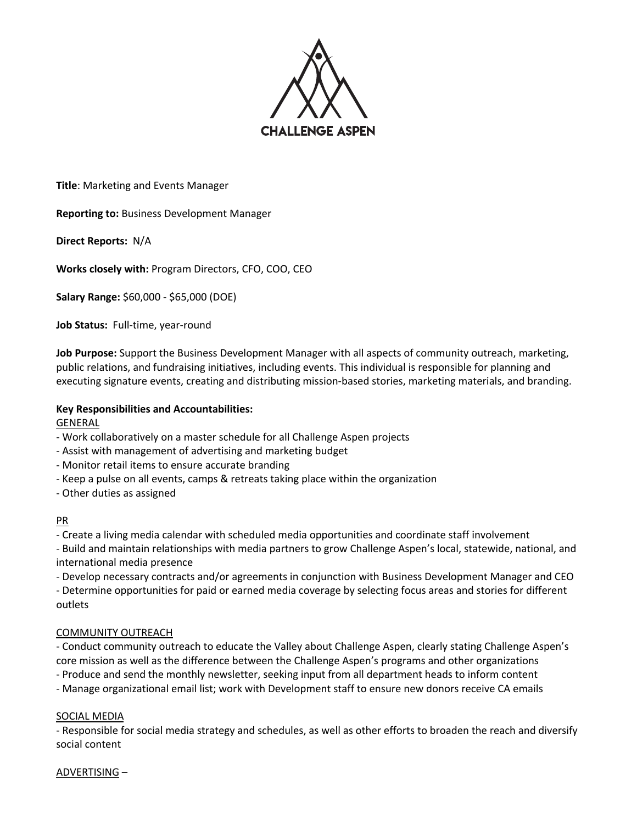

**Title**: Marketing and Events Manager

**Reporting to:** Business Development Manager

**Direct Reports:** N/A

**Works closely with:** Program Directors, CFO, COO, CEO

**Salary Range:** \$60,000 - \$65,000 (DOE)

**Job Status:** Full-time, year-round

**Job Purpose:** Support the Business Development Manager with all aspects of community outreach, marketing, public relations, and fundraising initiatives, including events. This individual is responsible for planning and executing signature events, creating and distributing mission-based stories, marketing materials, and branding.

## **Key Responsibilities and Accountabilities:**

GENERAL

- Work collaboratively on a master schedule for all Challenge Aspen projects
- Assist with management of advertising and marketing budget
- Monitor retail items to ensure accurate branding
- Keep a pulse on all events, camps & retreats taking place within the organization

- Other duties as assigned

#### PR

- Create a living media calendar with scheduled media opportunities and coordinate staff involvement

- Build and maintain relationships with media partners to grow Challenge Aspen's local, statewide, national, and international media presence

- Develop necessary contracts and/or agreements in conjunction with Business Development Manager and CEO

- Determine opportunities for paid or earned media coverage by selecting focus areas and stories for different outlets

## COMMUNITY OUTREACH

- Conduct community outreach to educate the Valley about Challenge Aspen, clearly stating Challenge Aspen's core mission as well as the difference between the Challenge Aspen's programs and other organizations

- Produce and send the monthly newsletter, seeking input from all department heads to inform content

- Manage organizational email list; work with Development staff to ensure new donors receive CA emails

#### SOCIAL MEDIA

- Responsible for social media strategy and schedules, as well as other efforts to broaden the reach and diversify social content

#### ADVERTISING –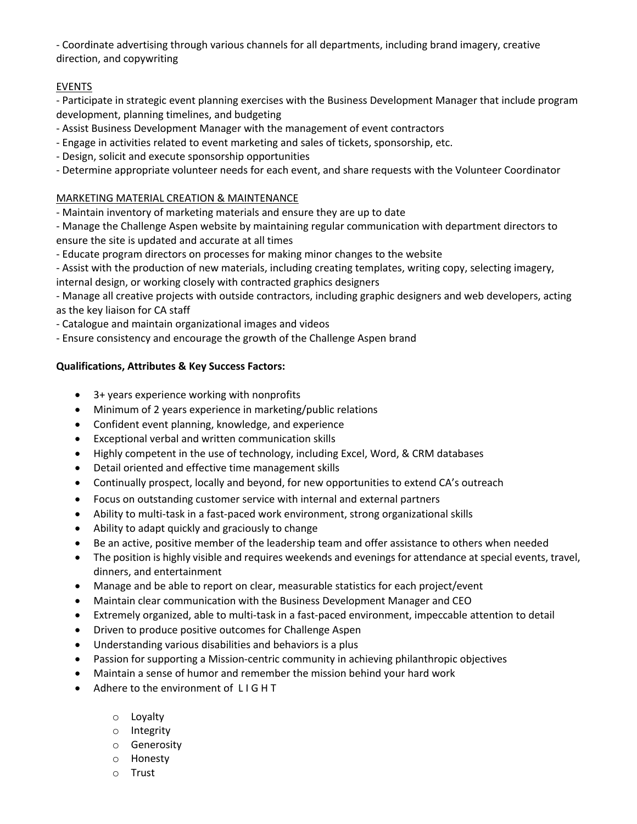- Coordinate advertising through various channels for all departments, including brand imagery, creative direction, and copywriting

## **EVENTS**

- Participate in strategic event planning exercises with the Business Development Manager that include program development, planning timelines, and budgeting

- Assist Business Development Manager with the management of event contractors
- Engage in activities related to event marketing and sales of tickets, sponsorship, etc.
- Design, solicit and execute sponsorship opportunities
- Determine appropriate volunteer needs for each event, and share requests with the Volunteer Coordinator

## MARKETING MATERIAL CREATION & MAINTENANCE

- Maintain inventory of marketing materials and ensure they are up to date

- Manage the Challenge Aspen website by maintaining regular communication with department directors to ensure the site is updated and accurate at all times

- Educate program directors on processes for making minor changes to the website

- Assist with the production of new materials, including creating templates, writing copy, selecting imagery, internal design, or working closely with contracted graphics designers

- Manage all creative projects with outside contractors, including graphic designers and web developers, acting as the key liaison for CA staff

- Catalogue and maintain organizational images and videos
- Ensure consistency and encourage the growth of the Challenge Aspen brand

## **Qualifications, Attributes & Key Success Factors:**

- 3+ years experience working with nonprofits
- Minimum of 2 years experience in marketing/public relations
- Confident event planning, knowledge, and experience
- Exceptional verbal and written communication skills
- Highly competent in the use of technology, including Excel, Word, & CRM databases
- Detail oriented and effective time management skills
- Continually prospect, locally and beyond, for new opportunities to extend CA's outreach
- Focus on outstanding customer service with internal and external partners
- Ability to multi-task in a fast-paced work environment, strong organizational skills
- Ability to adapt quickly and graciously to change
- Be an active, positive member of the leadership team and offer assistance to others when needed
- The position is highly visible and requires weekends and evenings for attendance at special events, travel, dinners, and entertainment
- Manage and be able to report on clear, measurable statistics for each project/event
- Maintain clear communication with the Business Development Manager and CEO
- Extremely organized, able to multi-task in a fast-paced environment, impeccable attention to detail
- Driven to produce positive outcomes for Challenge Aspen
- Understanding various disabilities and behaviors is a plus
- Passion for supporting a Mission-centric community in achieving philanthropic objectives
- Maintain a sense of humor and remember the mission behind your hard work
- Adhere to the environment of L I G H T
	- o Loyalty
	- o Integrity
	- o Generosity
	- o Honesty
	- o Trust